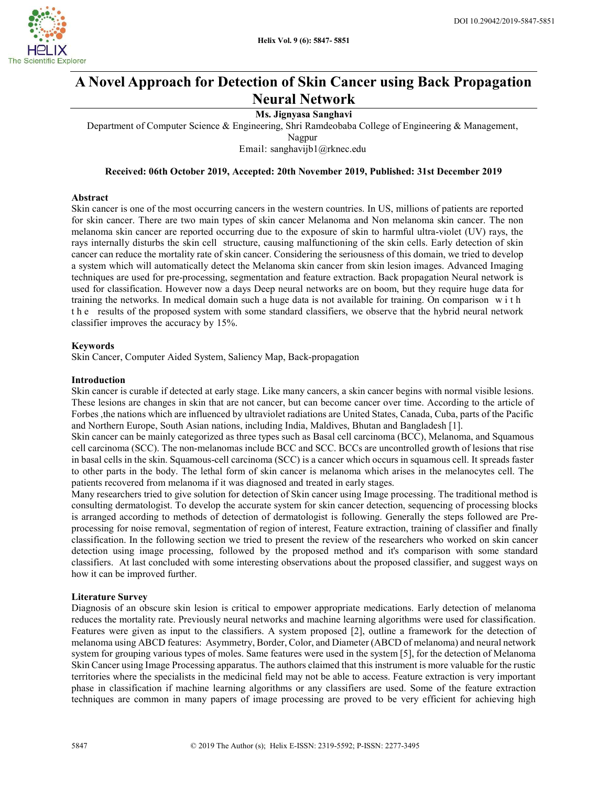

# A Novel Approach for Detection of Skin Cancer using Back Propagation Neural Network

# Ms. Jignyasa Sanghavi

Department of Computer Science & Engineering, Shri Ramdeobaba College of Engineering & Management,

Nagpur

Email: sanghavijb1@rknec.edu

# Received: 06th October 2019, Accepted: 20th November 2019, Published: 31st December 2019

# Abstract

Skin cancer is one of the most occurring cancers in the western countries. In US, millions of patients are reported for skin cancer. There are two main types of skin cancer Melanoma and Non melanoma skin cancer. The non melanoma skin cancer are reported occurring due to the exposure of skin to harmful ultra-violet (UV) rays, the rays internally disturbs the skin cell structure, causing malfunctioning of the skin cells. Early detection of skin cancer can reduce the mortality rate of skin cancer. Considering the seriousness of this domain, we tried to develop a system which will automatically detect the Melanoma skin cancer from skin lesion images. Advanced Imaging techniques are used for pre-processing, segmentation and feature extraction. Back propagation Neural network is used for classification. However now a days Deep neural networks are on boom, but they require huge data for training the networks. In medical domain such a huge data is not available for training. On comparison w i t h t h e results of the proposed system with some standard classifiers, we observe that the hybrid neural network classifier improves the accuracy by 15%.

## Keywords

Skin Cancer, Computer Aided System, Saliency Map, Back-propagation

## Introduction

Skin cancer is curable if detected at early stage. Like many cancers, a skin cancer begins with normal visible lesions. These lesions are changes in skin that are not cancer, but can become cancer over time. According to the article of Forbes ,the nations which are influenced by ultraviolet radiations are United States, Canada, Cuba, parts of the Pacific and Northern Europe, South Asian nations, including India, Maldives, Bhutan and Bangladesh [1].

Skin cancer can be mainly categorized as three types such as Basal cell carcinoma (BCC), Melanoma, and Squamous cell carcinoma (SCC). The non-melanomas include BCC and SCC. BCCs are uncontrolled growth of lesions that rise in basal cells in the skin. Squamous-cell carcinoma (SCC) is a cancer which occurs in squamous cell. It spreads faster to other parts in the body. The lethal form of skin cancer is melanoma which arises in the melanocytes cell. The patients recovered from melanoma if it was diagnosed and treated in early stages.

Many researchers tried to give solution for detection of Skin cancer using Image processing. The traditional method is consulting dermatologist. To develop the accurate system for skin cancer detection, sequencing of processing blocks is arranged according to methods of detection of dermatologist is following. Generally the steps followed are Preprocessing for noise removal, segmentation of region of interest, Feature extraction, training of classifier and finally classification. In the following section we tried to present the review of the researchers who worked on skin cancer detection using image processing, followed by the proposed method and it's comparison with some standard classifiers. At last concluded with some interesting observations about the proposed classifier, and suggest ways on how it can be improved further.

## Literature Survey

Diagnosis of an obscure skin lesion is critical to empower appropriate medications. Early detection of melanoma reduces the mortality rate. Previously neural networks and machine learning algorithms were used for classification. Features were given as input to the classifiers. A system proposed [2], outline a framework for the detection of melanoma using ABCD features: Asymmetry, Border, Color, and Diameter (ABCD of melanoma) and neural network system for grouping various types of moles. Same features were used in the system [5], for the detection of Melanoma Skin Cancer using Image Processing apparatus. The authors claimed that this instrument is more valuable for the rustic territories where the specialists in the medicinal field may not be able to access. Feature extraction is very important phase in classification if machine learning algorithms or any classifiers are used. Some of the feature extraction techniques are common in many papers of image processing are proved to be very efficient for achieving high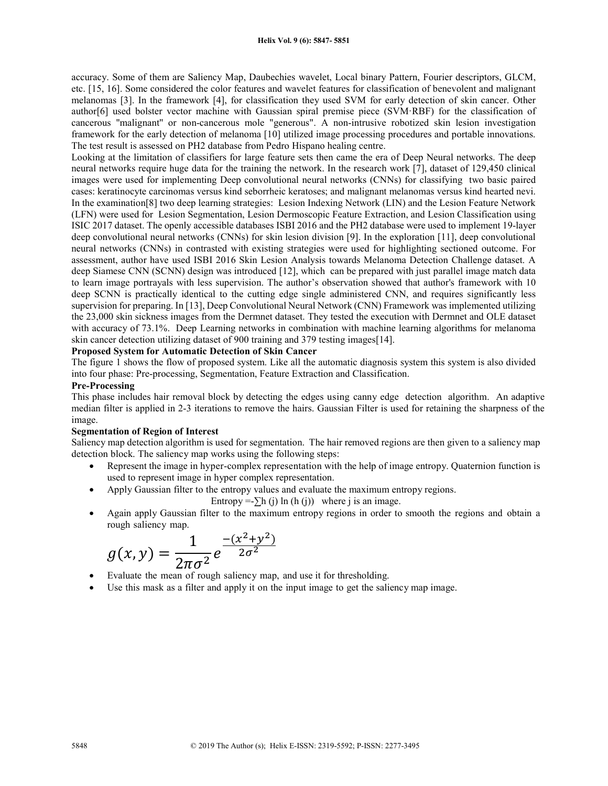accuracy. Some of them are Saliency Map, Daubechies wavelet, Local binary Pattern, Fourier descriptors, GLCM, etc. [15, 16]. Some considered the color features and wavelet features for classification of benevolent and malignant melanomas [3]. In the framework [4], for classification they used SVM for early detection of skin cancer. Other author[6] used bolster vector machine with Gaussian spiral premise piece (SVM·RBF) for the classification of cancerous ''malignant'' or non-cancerous mole "generous". A non-intrusive robotized skin lesion investigation framework for the early detection of melanoma [10] utilized image processing procedures and portable innovations. The test result is assessed on PH2 database from Pedro Hispano healing centre.

Looking at the limitation of classifiers for large feature sets then came the era of Deep Neural networks. The deep neural networks require huge data for the training the network. In the research work [7], dataset of 129,450 clinical images were used for implementing Deep convolutional neural networks (CNNs) for classifying two basic paired cases: keratinocyte carcinomas versus kind seborrheic keratoses; and malignant melanomas versus kind hearted nevi. In the examination[8] two deep learning strategies: Lesion Indexing Network (LIN) and the Lesion Feature Network (LFN) were used for Lesion Segmentation, Lesion Dermoscopic Feature Extraction, and Lesion Classification using ISIC 2017 dataset. The openly accessible databases ISBI 2016 and the PH2 database were used to implement 19-layer deep convolutional neural networks (CNNs) for skin lesion division [9]. In the exploration [11], deep convolutional neural networks (CNNs) in contrasted with existing strategies were used for highlighting sectioned outcome. For assessment, author have used ISBI 2016 Skin Lesion Analysis towards Melanoma Detection Challenge dataset. A deep Siamese CNN (SCNN) design was introduced [12], which can be prepared with just parallel image match data to learn image portrayals with less supervision. The author's observation showed that author's framework with 10 deep SCNN is practically identical to the cutting edge single administered CNN, and requires significantly less supervision for preparing. In [13], Deep Convolutional Neural Network (CNN) Framework was implemented utilizing the 23,000 skin sickness images from the Dermnet dataset. They tested the execution with Dermnet and OLE dataset with accuracy of 73.1%. Deep Learning networks in combination with machine learning algorithms for melanoma skin cancer detection utilizing dataset of 900 training and 379 testing images[14].

# Proposed System for Automatic Detection of Skin Cancer

The figure 1 shows the flow of proposed system. Like all the automatic diagnosis system this system is also divided into four phase: Pre-processing, Segmentation, Feature Extraction and Classification.

## Pre-Processing

This phase includes hair removal block by detecting the edges using canny edge detection algorithm. An adaptive median filter is applied in 2-3 iterations to remove the hairs. Gaussian Filter is used for retaining the sharpness of the image.

# Segmentation of Region of Interest

Saliency map detection algorithm is used for segmentation. The hair removed regions are then given to a saliency map detection block. The saliency map works using the following steps:

- Represent the image in hyper-complex representation with the help of image entropy. Quaternion function is used to represent image in hyper complex representation.
	- Apply Gaussian filter to the entropy values and evaluate the maximum entropy regions.

Entropy =- $\sum h(i) \ln (h(i))$  where j is an image.

 Again apply Gaussian filter to the maximum entropy regions in order to smooth the regions and obtain a rough saliency map.

$$
g(x,y) = \frac{1}{2\pi\sigma^2} e^{\frac{-(x^2+y^2)}{2\sigma^2}}
$$

- Evaluate the mean of rough saliency map, and use it for thresholding.
- Use this mask as a filter and apply it on the input image to get the saliency map image.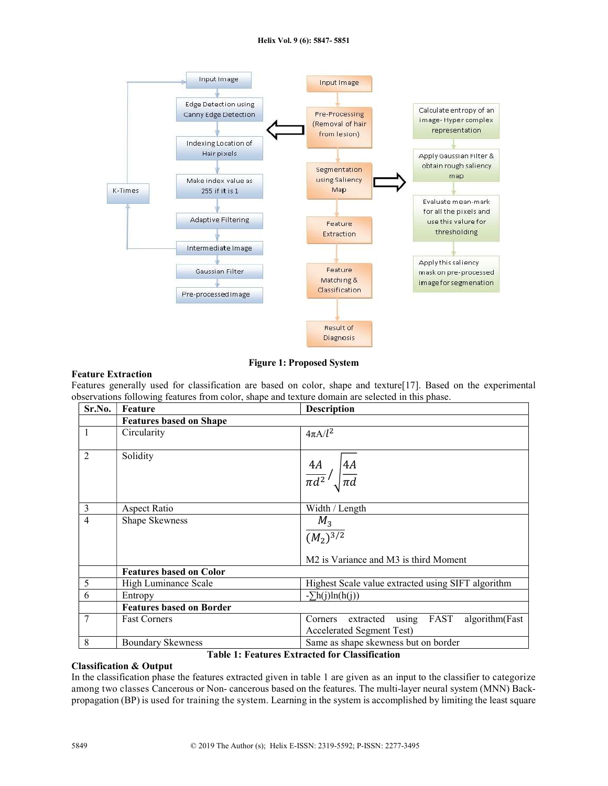#### Helix Vol. 9 (6): 5847- 5851



Figure 1: Proposed System

# Feature Extraction

Features generally used for classification are based on color, shape and texture[17]. Based on the experimental observations following features from color, shape and texture domain are selected in this phase.

| Sr.No.         | Feature                         | <b>Description</b>                                                                                |  |  |
|----------------|---------------------------------|---------------------------------------------------------------------------------------------------|--|--|
|                | <b>Features based on Shape</b>  |                                                                                                   |  |  |
| $\mathbf{1}$   | Circularity                     | $4\pi A/l^2$                                                                                      |  |  |
| $\overline{2}$ | Solidity                        | $\frac{4A}{\pi d^2}$ / $\sqrt{\frac{4A}{\pi d}}$                                                  |  |  |
| 3              | Aspect Ratio                    | Width / Length                                                                                    |  |  |
| $\overline{4}$ | Shape Skewness                  | $M_3$<br>$\frac{1}{(M_2)^{3/2}}$<br>M <sub>2</sub> is Variance and M <sub>3</sub> is third Moment |  |  |
|                | <b>Features based on Color</b>  |                                                                                                   |  |  |
| 5              | High Luminance Scale            | Highest Scale value extracted using SIFT algorithm                                                |  |  |
| 6              | Entropy                         | $-\sum h(j)ln(h(j))$                                                                              |  |  |
|                | <b>Features based on Border</b> |                                                                                                   |  |  |
| 7              | <b>Fast Corners</b>             | algorithm(Fast<br>FAST<br>using<br>extracted<br>Corners<br>Accelerated Segment Test)              |  |  |
| 8              | <b>Boundary Skewness</b>        | Same as shape skewness but on border                                                              |  |  |

Table 1: Features Extracted for Classification

# Classification & Output

In the classification phase the features extracted given in table 1 are given as an input to the classifier to categorize among two classes Cancerous or Non- cancerous based on the features. The multi-layer neural system (MNN) Backpropagation (BP) is used for training the system. Learning in the system is accomplished by limiting the least square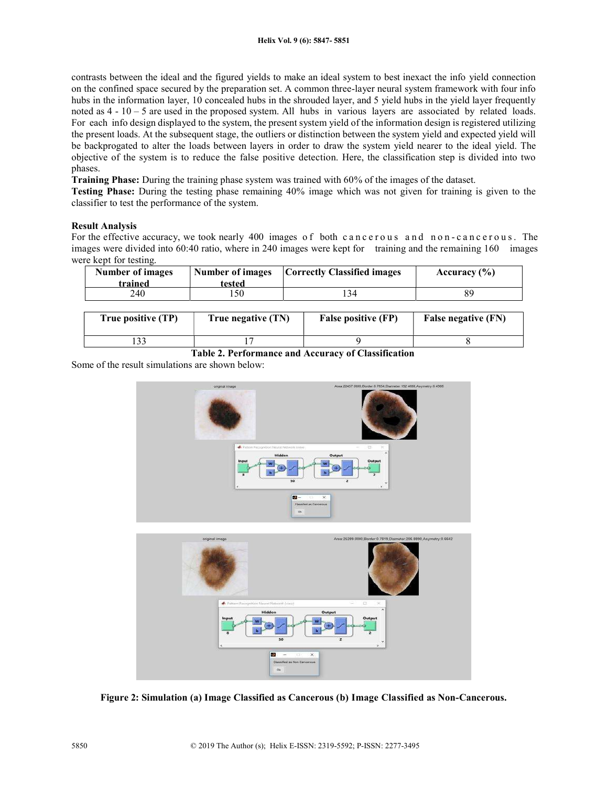contrasts between the ideal and the figured yields to make an ideal system to best inexact the info yield connection on the confined space secured by the preparation set. A common three-layer neural system framework with four info hubs in the information layer, 10 concealed hubs in the shrouded layer, and 5 yield hubs in the yield layer frequently noted as 4 - 10 – 5 are used in the proposed system. All hubs in various layers are associated by related loads. For each info design displayed to the system, the present system yield of the information design is registered utilizing the present loads. At the subsequent stage, the outliers or distinction between the system yield and expected yield will be backprogated to alter the loads between layers in order to draw the system yield nearer to the ideal yield. The objective of the system is to reduce the false positive detection. Here, the classification step is divided into two phases.

Training Phase: During the training phase system was trained with 60% of the images of the dataset.

Testing Phase: During the testing phase remaining 40% image which was not given for training is given to the classifier to test the performance of the system.

# Result Analysis

For the effective accuracy, we took nearly 400 images of both cancerous and non-cancerous. The images were divided into 60:40 ratio, where in 240 images were kept for training and the remaining 160 images were kept for testing.

| Number of images<br>trained | Number of images<br>tested | <b>Correctly Classified images</b> | Accuracy $(\% )$ |
|-----------------------------|----------------------------|------------------------------------|------------------|
| 240                         | 50                         |                                    |                  |

| True positive (TP) | True negative (TN) | <b>False positive (FP)</b> | False negative (FN) |
|--------------------|--------------------|----------------------------|---------------------|
|                    |                    |                            |                     |
|                    |                    |                            |                     |

Table 2. Performance and Accuracy of Classification

Some of the result simulations are shown below:





Figure 2: Simulation (a) Image Classified as Cancerous (b) Image Classified as Non-Cancerous.